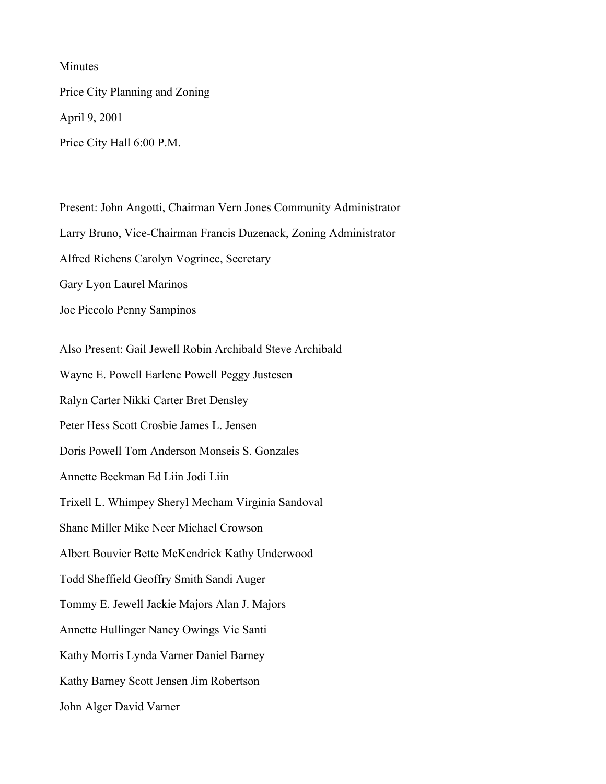Minutes

Price City Planning and Zoning April 9, 2001 Price City Hall 6:00 P.M.

Present: John Angotti, Chairman Vern Jones Community Administrator Larry Bruno, Vice-Chairman Francis Duzenack, Zoning Administrator Alfred Richens Carolyn Vogrinec, Secretary Gary Lyon Laurel Marinos Joe Piccolo Penny Sampinos Also Present: Gail Jewell Robin Archibald Steve Archibald Wayne E. Powell Earlene Powell Peggy Justesen Ralyn Carter Nikki Carter Bret Densley Peter Hess Scott Crosbie James L. Jensen Doris Powell Tom Anderson Monseis S. Gonzales Annette Beckman Ed Liin Jodi Liin Trixell L. Whimpey Sheryl Mecham Virginia Sandoval Shane Miller Mike Neer Michael Crowson Albert Bouvier Bette McKendrick Kathy Underwood Todd Sheffield Geoffry Smith Sandi Auger Tommy E. Jewell Jackie Majors Alan J. Majors Annette Hullinger Nancy Owings Vic Santi Kathy Morris Lynda Varner Daniel Barney

Kathy Barney Scott Jensen Jim Robertson

John Alger David Varner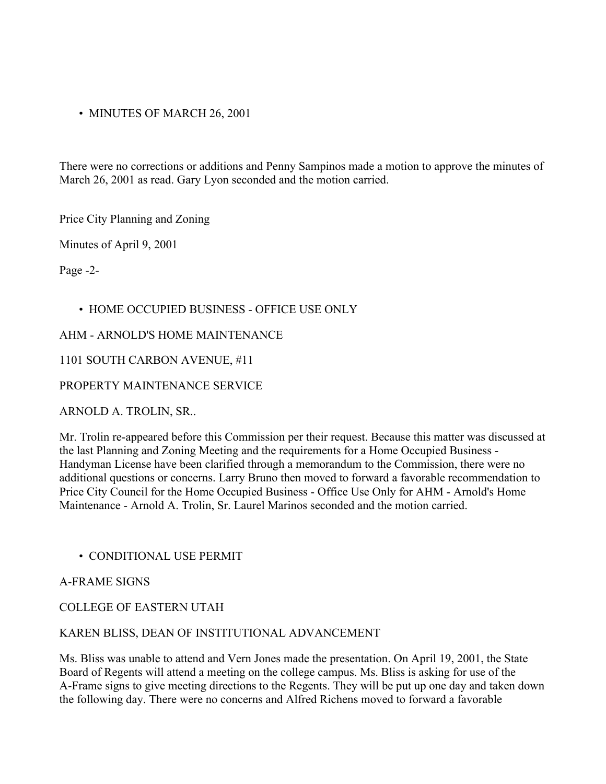• MINUTES OF MARCH 26, 2001

There were no corrections or additions and Penny Sampinos made a motion to approve the minutes of March 26, 2001 as read. Gary Lyon seconded and the motion carried.

Price City Planning and Zoning

Minutes of April 9, 2001

Page -2-

### • HOME OCCUPIED BUSINESS - OFFICE USE ONLY

### AHM - ARNOLD'S HOME MAINTENANCE

### 1101 SOUTH CARBON AVENUE, #11

### PROPERTY MAINTENANCE SERVICE

ARNOLD A. TROLIN, SR..

Mr. Trolin re-appeared before this Commission per their request. Because this matter was discussed at the last Planning and Zoning Meeting and the requirements for a Home Occupied Business - Handyman License have been clarified through a memorandum to the Commission, there were no additional questions or concerns. Larry Bruno then moved to forward a favorable recommendation to Price City Council for the Home Occupied Business - Office Use Only for AHM - Arnold's Home Maintenance - Arnold A. Trolin, Sr. Laurel Marinos seconded and the motion carried.

• CONDITIONAL USE PERMIT

### A-FRAME SIGNS

# COLLEGE OF EASTERN UTAH

### KAREN BLISS, DEAN OF INSTITUTIONAL ADVANCEMENT

Ms. Bliss was unable to attend and Vern Jones made the presentation. On April 19, 2001, the State Board of Regents will attend a meeting on the college campus. Ms. Bliss is asking for use of the A-Frame signs to give meeting directions to the Regents. They will be put up one day and taken down the following day. There were no concerns and Alfred Richens moved to forward a favorable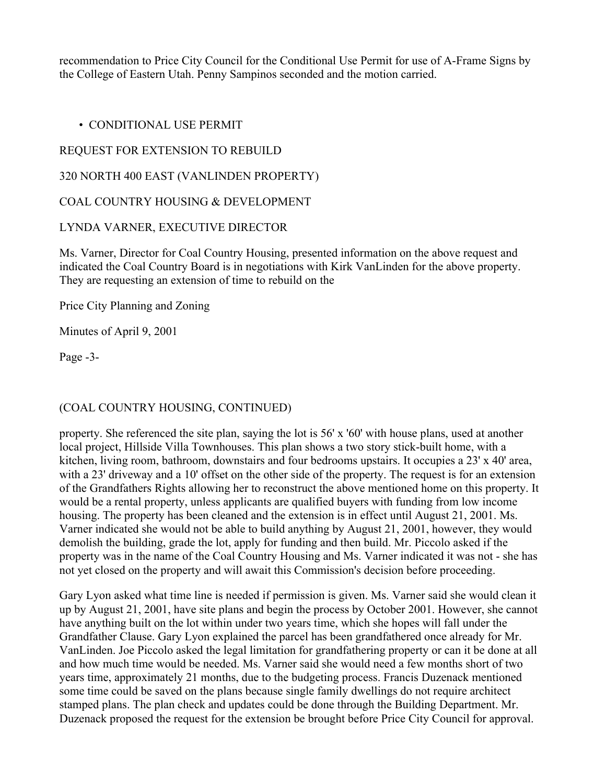recommendation to Price City Council for the Conditional Use Permit for use of A-Frame Signs by the College of Eastern Utah. Penny Sampinos seconded and the motion carried.

• CONDITIONAL USE PERMIT

# REQUEST FOR EXTENSION TO REBUILD

320 NORTH 400 EAST (VANLINDEN PROPERTY)

COAL COUNTRY HOUSING & DEVELOPMENT

# LYNDA VARNER, EXECUTIVE DIRECTOR

Ms. Varner, Director for Coal Country Housing, presented information on the above request and indicated the Coal Country Board is in negotiations with Kirk VanLinden for the above property. They are requesting an extension of time to rebuild on the

Price City Planning and Zoning

Minutes of April 9, 2001

Page -3-

# (COAL COUNTRY HOUSING, CONTINUED)

property. She referenced the site plan, saying the lot is 56' x '60' with house plans, used at another local project, Hillside Villa Townhouses. This plan shows a two story stick-built home, with a kitchen, living room, bathroom, downstairs and four bedrooms upstairs. It occupies a 23' x 40' area, with a 23' driveway and a 10' offset on the other side of the property. The request is for an extension of the Grandfathers Rights allowing her to reconstruct the above mentioned home on this property. It would be a rental property, unless applicants are qualified buyers with funding from low income housing. The property has been cleaned and the extension is in effect until August 21, 2001. Ms. Varner indicated she would not be able to build anything by August 21, 2001, however, they would demolish the building, grade the lot, apply for funding and then build. Mr. Piccolo asked if the property was in the name of the Coal Country Housing and Ms. Varner indicated it was not - she has not yet closed on the property and will await this Commission's decision before proceeding.

Gary Lyon asked what time line is needed if permission is given. Ms. Varner said she would clean it up by August 21, 2001, have site plans and begin the process by October 2001. However, she cannot have anything built on the lot within under two years time, which she hopes will fall under the Grandfather Clause. Gary Lyon explained the parcel has been grandfathered once already for Mr. VanLinden. Joe Piccolo asked the legal limitation for grandfathering property or can it be done at all and how much time would be needed. Ms. Varner said she would need a few months short of two years time, approximately 21 months, due to the budgeting process. Francis Duzenack mentioned some time could be saved on the plans because single family dwellings do not require architect stamped plans. The plan check and updates could be done through the Building Department. Mr. Duzenack proposed the request for the extension be brought before Price City Council for approval.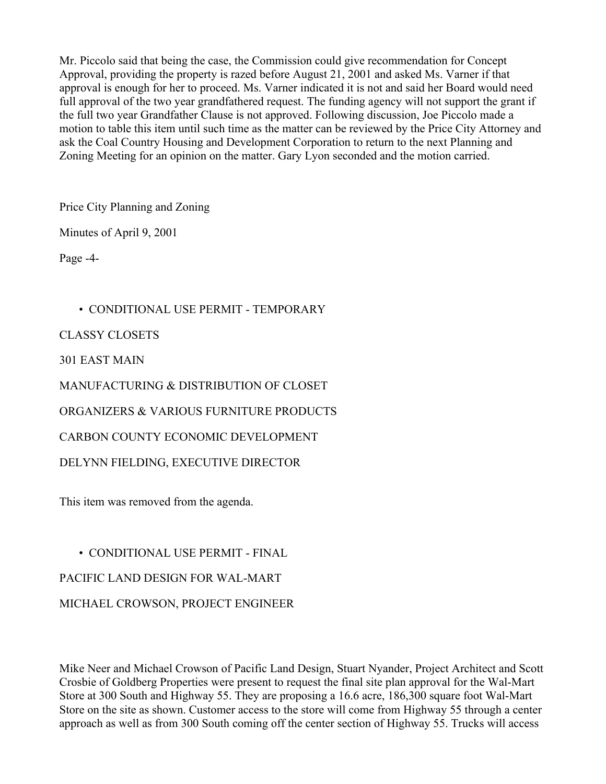Mr. Piccolo said that being the case, the Commission could give recommendation for Concept Approval, providing the property is razed before August 21, 2001 and asked Ms. Varner if that approval is enough for her to proceed. Ms. Varner indicated it is not and said her Board would need full approval of the two year grandfathered request. The funding agency will not support the grant if the full two year Grandfather Clause is not approved. Following discussion, Joe Piccolo made a motion to table this item until such time as the matter can be reviewed by the Price City Attorney and ask the Coal Country Housing and Development Corporation to return to the next Planning and Zoning Meeting for an opinion on the matter. Gary Lyon seconded and the motion carried.

Price City Planning and Zoning

Minutes of April 9, 2001

Page -4-

• CONDITIONAL USE PERMIT - TEMPORARY

CLASSY CLOSETS

301 EAST MAIN

MANUFACTURING & DISTRIBUTION OF CLOSET

ORGANIZERS & VARIOUS FURNITURE PRODUCTS

CARBON COUNTY ECONOMIC DEVELOPMENT

DELYNN FIELDING, EXECUTIVE DIRECTOR

This item was removed from the agenda.

• CONDITIONAL USE PERMIT - FINAL PACIFIC LAND DESIGN FOR WAL-MART MICHAEL CROWSON, PROJECT ENGINEER

Mike Neer and Michael Crowson of Pacific Land Design, Stuart Nyander, Project Architect and Scott Crosbie of Goldberg Properties were present to request the final site plan approval for the Wal-Mart Store at 300 South and Highway 55. They are proposing a 16.6 acre, 186,300 square foot Wal-Mart Store on the site as shown. Customer access to the store will come from Highway 55 through a center approach as well as from 300 South coming off the center section of Highway 55. Trucks will access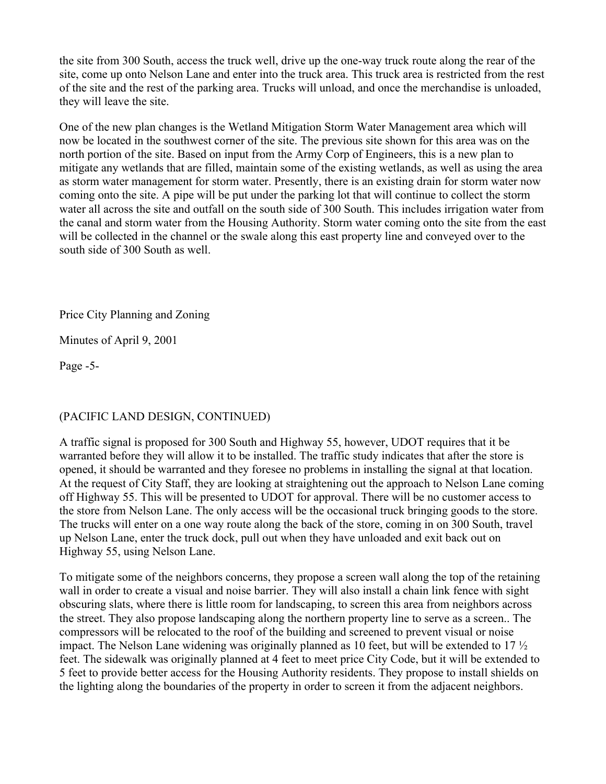the site from 300 South, access the truck well, drive up the one-way truck route along the rear of the site, come up onto Nelson Lane and enter into the truck area. This truck area is restricted from the rest of the site and the rest of the parking area. Trucks will unload, and once the merchandise is unloaded, they will leave the site.

One of the new plan changes is the Wetland Mitigation Storm Water Management area which will now be located in the southwest corner of the site. The previous site shown for this area was on the north portion of the site. Based on input from the Army Corp of Engineers, this is a new plan to mitigate any wetlands that are filled, maintain some of the existing wetlands, as well as using the area as storm water management for storm water. Presently, there is an existing drain for storm water now coming onto the site. A pipe will be put under the parking lot that will continue to collect the storm water all across the site and outfall on the south side of 300 South. This includes irrigation water from the canal and storm water from the Housing Authority. Storm water coming onto the site from the east will be collected in the channel or the swale along this east property line and conveyed over to the south side of 300 South as well.

Price City Planning and Zoning

Minutes of April 9, 2001

Page -5-

# (PACIFIC LAND DESIGN, CONTINUED)

A traffic signal is proposed for 300 South and Highway 55, however, UDOT requires that it be warranted before they will allow it to be installed. The traffic study indicates that after the store is opened, it should be warranted and they foresee no problems in installing the signal at that location. At the request of City Staff, they are looking at straightening out the approach to Nelson Lane coming off Highway 55. This will be presented to UDOT for approval. There will be no customer access to the store from Nelson Lane. The only access will be the occasional truck bringing goods to the store. The trucks will enter on a one way route along the back of the store, coming in on 300 South, travel up Nelson Lane, enter the truck dock, pull out when they have unloaded and exit back out on Highway 55, using Nelson Lane.

To mitigate some of the neighbors concerns, they propose a screen wall along the top of the retaining wall in order to create a visual and noise barrier. They will also install a chain link fence with sight obscuring slats, where there is little room for landscaping, to screen this area from neighbors across the street. They also propose landscaping along the northern property line to serve as a screen.. The compressors will be relocated to the roof of the building and screened to prevent visual or noise impact. The Nelson Lane widening was originally planned as 10 feet, but will be extended to 17 ½ feet. The sidewalk was originally planned at 4 feet to meet price City Code, but it will be extended to 5 feet to provide better access for the Housing Authority residents. They propose to install shields on the lighting along the boundaries of the property in order to screen it from the adjacent neighbors.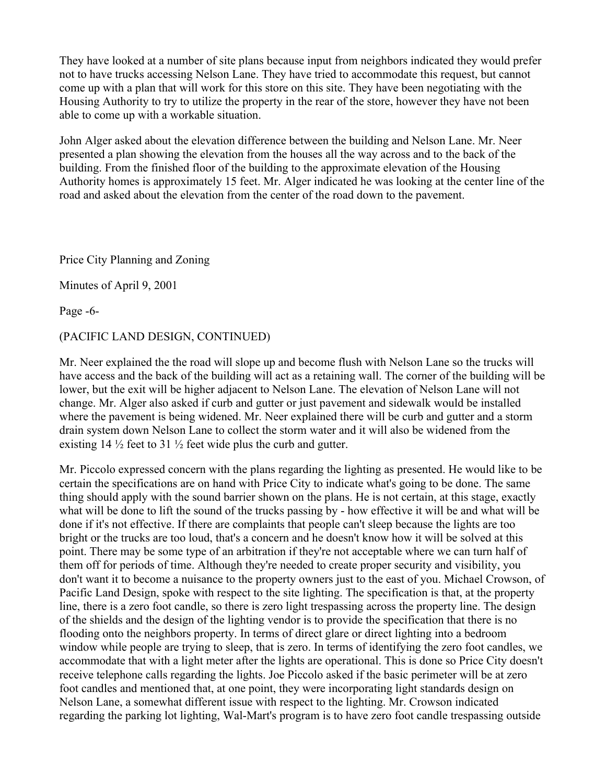They have looked at a number of site plans because input from neighbors indicated they would prefer not to have trucks accessing Nelson Lane. They have tried to accommodate this request, but cannot come up with a plan that will work for this store on this site. They have been negotiating with the Housing Authority to try to utilize the property in the rear of the store, however they have not been able to come up with a workable situation.

John Alger asked about the elevation difference between the building and Nelson Lane. Mr. Neer presented a plan showing the elevation from the houses all the way across and to the back of the building. From the finished floor of the building to the approximate elevation of the Housing Authority homes is approximately 15 feet. Mr. Alger indicated he was looking at the center line of the road and asked about the elevation from the center of the road down to the pavement.

Price City Planning and Zoning

Minutes of April 9, 2001

Page -6-

# (PACIFIC LAND DESIGN, CONTINUED)

Mr. Neer explained the the road will slope up and become flush with Nelson Lane so the trucks will have access and the back of the building will act as a retaining wall. The corner of the building will be lower, but the exit will be higher adjacent to Nelson Lane. The elevation of Nelson Lane will not change. Mr. Alger also asked if curb and gutter or just pavement and sidewalk would be installed where the pavement is being widened. Mr. Neer explained there will be curb and gutter and a storm drain system down Nelson Lane to collect the storm water and it will also be widened from the existing  $14\frac{1}{2}$  feet to  $31\frac{1}{2}$  feet wide plus the curb and gutter.

Mr. Piccolo expressed concern with the plans regarding the lighting as presented. He would like to be certain the specifications are on hand with Price City to indicate what's going to be done. The same thing should apply with the sound barrier shown on the plans. He is not certain, at this stage, exactly what will be done to lift the sound of the trucks passing by - how effective it will be and what will be done if it's not effective. If there are complaints that people can't sleep because the lights are too bright or the trucks are too loud, that's a concern and he doesn't know how it will be solved at this point. There may be some type of an arbitration if they're not acceptable where we can turn half of them off for periods of time. Although they're needed to create proper security and visibility, you don't want it to become a nuisance to the property owners just to the east of you. Michael Crowson, of Pacific Land Design, spoke with respect to the site lighting. The specification is that, at the property line, there is a zero foot candle, so there is zero light trespassing across the property line. The design of the shields and the design of the lighting vendor is to provide the specification that there is no flooding onto the neighbors property. In terms of direct glare or direct lighting into a bedroom window while people are trying to sleep, that is zero. In terms of identifying the zero foot candles, we accommodate that with a light meter after the lights are operational. This is done so Price City doesn't receive telephone calls regarding the lights. Joe Piccolo asked if the basic perimeter will be at zero foot candles and mentioned that, at one point, they were incorporating light standards design on Nelson Lane, a somewhat different issue with respect to the lighting. Mr. Crowson indicated regarding the parking lot lighting, Wal-Mart's program is to have zero foot candle trespassing outside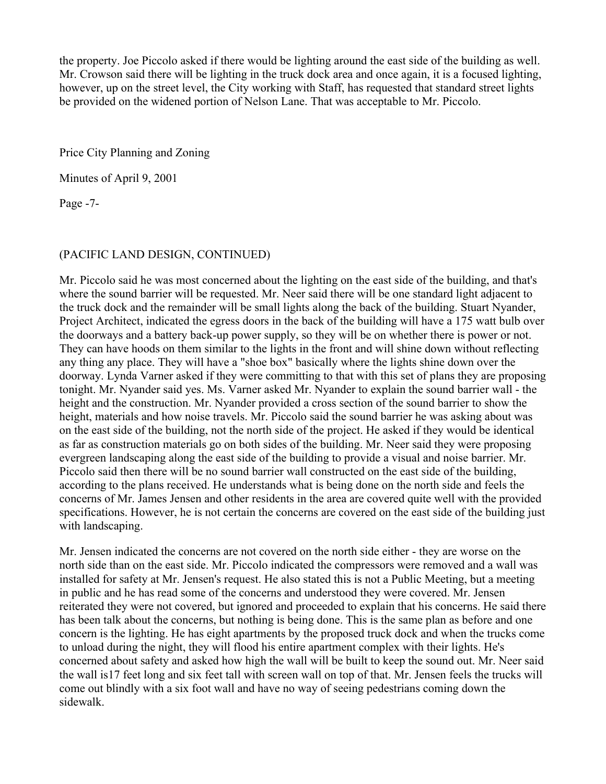the property. Joe Piccolo asked if there would be lighting around the east side of the building as well. Mr. Crowson said there will be lighting in the truck dock area and once again, it is a focused lighting, however, up on the street level, the City working with Staff, has requested that standard street lights be provided on the widened portion of Nelson Lane. That was acceptable to Mr. Piccolo.

Price City Planning and Zoning

Minutes of April 9, 2001

Page -7-

# (PACIFIC LAND DESIGN, CONTINUED)

Mr. Piccolo said he was most concerned about the lighting on the east side of the building, and that's where the sound barrier will be requested. Mr. Neer said there will be one standard light adjacent to the truck dock and the remainder will be small lights along the back of the building. Stuart Nyander, Project Architect, indicated the egress doors in the back of the building will have a 175 watt bulb over the doorways and a battery back-up power supply, so they will be on whether there is power or not. They can have hoods on them similar to the lights in the front and will shine down without reflecting any thing any place. They will have a "shoe box" basically where the lights shine down over the doorway. Lynda Varner asked if they were committing to that with this set of plans they are proposing tonight. Mr. Nyander said yes. Ms. Varner asked Mr. Nyander to explain the sound barrier wall - the height and the construction. Mr. Nyander provided a cross section of the sound barrier to show the height, materials and how noise travels. Mr. Piccolo said the sound barrier he was asking about was on the east side of the building, not the north side of the project. He asked if they would be identical as far as construction materials go on both sides of the building. Mr. Neer said they were proposing evergreen landscaping along the east side of the building to provide a visual and noise barrier. Mr. Piccolo said then there will be no sound barrier wall constructed on the east side of the building, according to the plans received. He understands what is being done on the north side and feels the concerns of Mr. James Jensen and other residents in the area are covered quite well with the provided specifications. However, he is not certain the concerns are covered on the east side of the building just with landscaping.

Mr. Jensen indicated the concerns are not covered on the north side either - they are worse on the north side than on the east side. Mr. Piccolo indicated the compressors were removed and a wall was installed for safety at Mr. Jensen's request. He also stated this is not a Public Meeting, but a meeting in public and he has read some of the concerns and understood they were covered. Mr. Jensen reiterated they were not covered, but ignored and proceeded to explain that his concerns. He said there has been talk about the concerns, but nothing is being done. This is the same plan as before and one concern is the lighting. He has eight apartments by the proposed truck dock and when the trucks come to unload during the night, they will flood his entire apartment complex with their lights. He's concerned about safety and asked how high the wall will be built to keep the sound out. Mr. Neer said the wall is17 feet long and six feet tall with screen wall on top of that. Mr. Jensen feels the trucks will come out blindly with a six foot wall and have no way of seeing pedestrians coming down the sidewalk.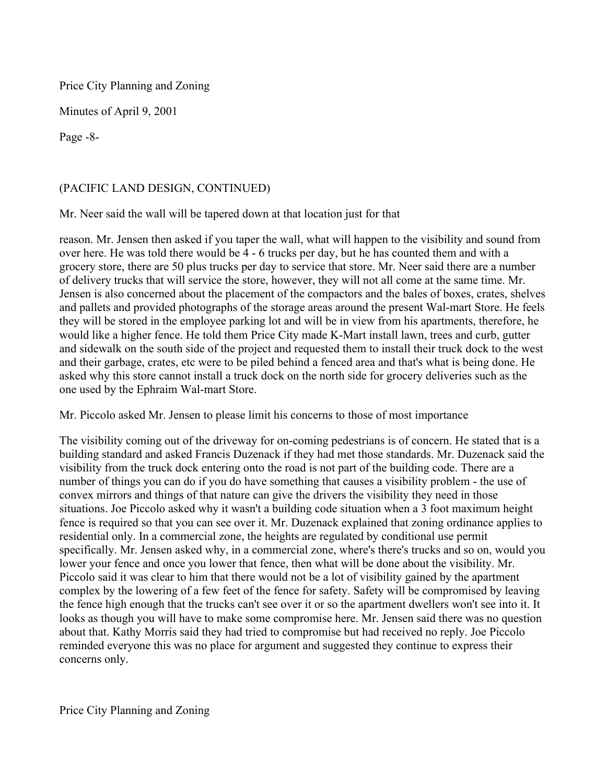Price City Planning and Zoning

Minutes of April 9, 2001

Page -8-

# (PACIFIC LAND DESIGN, CONTINUED)

Mr. Neer said the wall will be tapered down at that location just for that

reason. Mr. Jensen then asked if you taper the wall, what will happen to the visibility and sound from over here. He was told there would be 4 - 6 trucks per day, but he has counted them and with a grocery store, there are 50 plus trucks per day to service that store. Mr. Neer said there are a number of delivery trucks that will service the store, however, they will not all come at the same time. Mr. Jensen is also concerned about the placement of the compactors and the bales of boxes, crates, shelves and pallets and provided photographs of the storage areas around the present Wal-mart Store. He feels they will be stored in the employee parking lot and will be in view from his apartments, therefore, he would like a higher fence. He told them Price City made K-Mart install lawn, trees and curb, gutter and sidewalk on the south side of the project and requested them to install their truck dock to the west and their garbage, crates, etc were to be piled behind a fenced area and that's what is being done. He asked why this store cannot install a truck dock on the north side for grocery deliveries such as the one used by the Ephraim Wal-mart Store.

Mr. Piccolo asked Mr. Jensen to please limit his concerns to those of most importance

The visibility coming out of the driveway for on-coming pedestrians is of concern. He stated that is a building standard and asked Francis Duzenack if they had met those standards. Mr. Duzenack said the visibility from the truck dock entering onto the road is not part of the building code. There are a number of things you can do if you do have something that causes a visibility problem - the use of convex mirrors and things of that nature can give the drivers the visibility they need in those situations. Joe Piccolo asked why it wasn't a building code situation when a 3 foot maximum height fence is required so that you can see over it. Mr. Duzenack explained that zoning ordinance applies to residential only. In a commercial zone, the heights are regulated by conditional use permit specifically. Mr. Jensen asked why, in a commercial zone, where's there's trucks and so on, would you lower your fence and once you lower that fence, then what will be done about the visibility. Mr. Piccolo said it was clear to him that there would not be a lot of visibility gained by the apartment complex by the lowering of a few feet of the fence for safety. Safety will be compromised by leaving the fence high enough that the trucks can't see over it or so the apartment dwellers won't see into it. It looks as though you will have to make some compromise here. Mr. Jensen said there was no question about that. Kathy Morris said they had tried to compromise but had received no reply. Joe Piccolo reminded everyone this was no place for argument and suggested they continue to express their concerns only.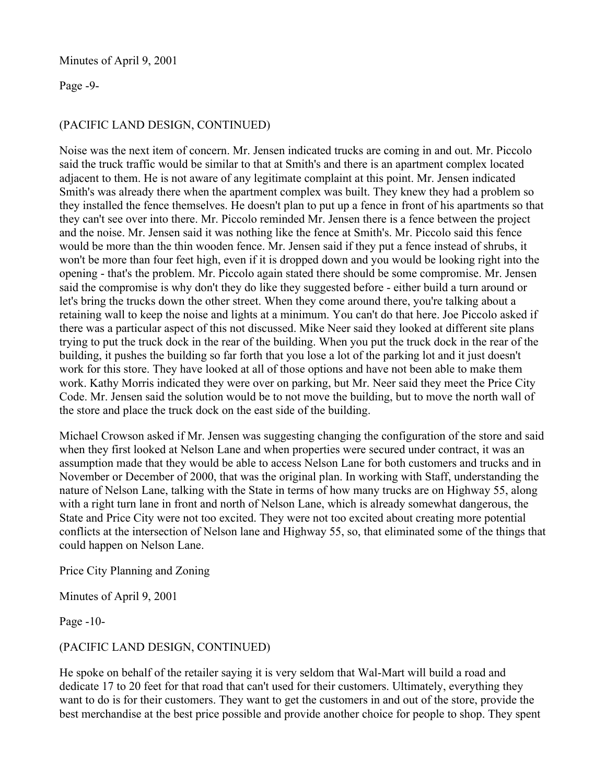### Minutes of April 9, 2001

### Page -9-

# (PACIFIC LAND DESIGN, CONTINUED)

Noise was the next item of concern. Mr. Jensen indicated trucks are coming in and out. Mr. Piccolo said the truck traffic would be similar to that at Smith's and there is an apartment complex located adjacent to them. He is not aware of any legitimate complaint at this point. Mr. Jensen indicated Smith's was already there when the apartment complex was built. They knew they had a problem so they installed the fence themselves. He doesn't plan to put up a fence in front of his apartments so that they can't see over into there. Mr. Piccolo reminded Mr. Jensen there is a fence between the project and the noise. Mr. Jensen said it was nothing like the fence at Smith's. Mr. Piccolo said this fence would be more than the thin wooden fence. Mr. Jensen said if they put a fence instead of shrubs, it won't be more than four feet high, even if it is dropped down and you would be looking right into the opening - that's the problem. Mr. Piccolo again stated there should be some compromise. Mr. Jensen said the compromise is why don't they do like they suggested before - either build a turn around or let's bring the trucks down the other street. When they come around there, you're talking about a retaining wall to keep the noise and lights at a minimum. You can't do that here. Joe Piccolo asked if there was a particular aspect of this not discussed. Mike Neer said they looked at different site plans trying to put the truck dock in the rear of the building. When you put the truck dock in the rear of the building, it pushes the building so far forth that you lose a lot of the parking lot and it just doesn't work for this store. They have looked at all of those options and have not been able to make them work. Kathy Morris indicated they were over on parking, but Mr. Neer said they meet the Price City Code. Mr. Jensen said the solution would be to not move the building, but to move the north wall of the store and place the truck dock on the east side of the building.

Michael Crowson asked if Mr. Jensen was suggesting changing the configuration of the store and said when they first looked at Nelson Lane and when properties were secured under contract, it was an assumption made that they would be able to access Nelson Lane for both customers and trucks and in November or December of 2000, that was the original plan. In working with Staff, understanding the nature of Nelson Lane, talking with the State in terms of how many trucks are on Highway 55, along with a right turn lane in front and north of Nelson Lane, which is already somewhat dangerous, the State and Price City were not too excited. They were not too excited about creating more potential conflicts at the intersection of Nelson lane and Highway 55, so, that eliminated some of the things that could happen on Nelson Lane.

### Price City Planning and Zoning

Minutes of April 9, 2001

Page -10-

# (PACIFIC LAND DESIGN, CONTINUED)

He spoke on behalf of the retailer saying it is very seldom that Wal-Mart will build a road and dedicate 17 to 20 feet for that road that can't used for their customers. Ultimately, everything they want to do is for their customers. They want to get the customers in and out of the store, provide the best merchandise at the best price possible and provide another choice for people to shop. They spent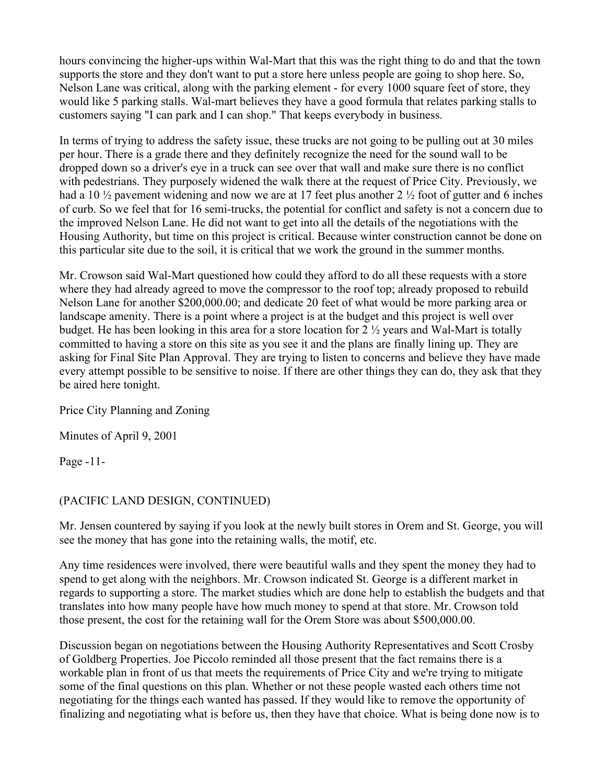hours convincing the higher-ups within Wal-Mart that this was the right thing to do and that the town supports the store and they don't want to put a store here unless people are going to shop here. So, Nelson Lane was critical, along with the parking element - for every 1000 square feet of store, they would like 5 parking stalls. Wal-mart believes they have a good formula that relates parking stalls to customers saying "I can park and I can shop." That keeps everybody in business.

In terms of trying to address the safety issue, these trucks are not going to be pulling out at 30 miles per hour. There is a grade there and they definitely recognize the need for the sound wall to be dropped down so a driver's eye in a truck can see over that wall and make sure there is no conflict with pedestrians. They purposely widened the walk there at the request of Price City. Previously, we had a 10  $\frac{1}{2}$  pavement widening and now we are at 17 feet plus another 2  $\frac{1}{2}$  foot of gutter and 6 inches of curb. So we feel that for 16 semi-trucks, the potential for conflict and safety is not a concern due to the improved Nelson Lane. He did not want to get into all the details of the negotiations with the Housing Authority, but time on this project is critical. Because winter construction cannot be done on this particular site due to the soil, it is critical that we work the ground in the summer months.

Mr. Crowson said Wal-Mart questioned how could they afford to do all these requests with a store where they had already agreed to move the compressor to the roof top; already proposed to rebuild Nelson Lane for another \$200,000.00; and dedicate 20 feet of what would be more parking area or landscape amenity. There is a point where a project is at the budget and this project is well over budget. He has been looking in this area for a store location for 2 ½ years and Wal-Mart is totally committed to having a store on this site as you see it and the plans are finally lining up. They are asking for Final Site Plan Approval. They are trying to listen to concerns and believe they have made every attempt possible to be sensitive to noise. If there are other things they can do, they ask that they be aired here tonight.

Price City Planning and Zoning

Minutes of April 9, 2001

Page -11-

# (PACIFIC LAND DESIGN, CONTINUED)

Mr. Jensen countered by saying if you look at the newly built stores in Orem and St. George, you will see the money that has gone into the retaining walls, the motif, etc.

Any time residences were involved, there were beautiful walls and they spent the money they had to spend to get along with the neighbors. Mr. Crowson indicated St. George is a different market in regards to supporting a store. The market studies which are done help to establish the budgets and that translates into how many people have how much money to spend at that store. Mr. Crowson told those present, the cost for the retaining wall for the Orem Store was about \$500,000.00.

Discussion began on negotiations between the Housing Authority Representatives and Scott Crosby of Goldberg Properties. Joe Piccolo reminded all those present that the fact remains there is a workable plan in front of us that meets the requirements of Price City and we're trying to mitigate some of the final questions on this plan. Whether or not these people wasted each others time not negotiating for the things each wanted has passed. If they would like to remove the opportunity of finalizing and negotiating what is before us, then they have that choice. What is being done now is to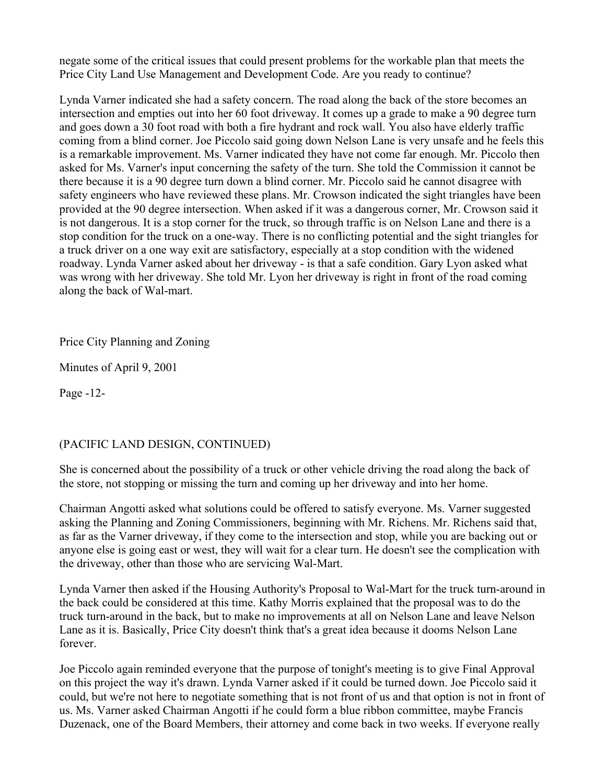negate some of the critical issues that could present problems for the workable plan that meets the Price City Land Use Management and Development Code. Are you ready to continue?

Lynda Varner indicated she had a safety concern. The road along the back of the store becomes an intersection and empties out into her 60 foot driveway. It comes up a grade to make a 90 degree turn and goes down a 30 foot road with both a fire hydrant and rock wall. You also have elderly traffic coming from a blind corner. Joe Piccolo said going down Nelson Lane is very unsafe and he feels this is a remarkable improvement. Ms. Varner indicated they have not come far enough. Mr. Piccolo then asked for Ms. Varner's input concerning the safety of the turn. She told the Commission it cannot be there because it is a 90 degree turn down a blind corner. Mr. Piccolo said he cannot disagree with safety engineers who have reviewed these plans. Mr. Crowson indicated the sight triangles have been provided at the 90 degree intersection. When asked if it was a dangerous corner, Mr. Crowson said it is not dangerous. It is a stop corner for the truck, so through traffic is on Nelson Lane and there is a stop condition for the truck on a one-way. There is no conflicting potential and the sight triangles for a truck driver on a one way exit are satisfactory, especially at a stop condition with the widened roadway. Lynda Varner asked about her driveway - is that a safe condition. Gary Lyon asked what was wrong with her driveway. She told Mr. Lyon her driveway is right in front of the road coming along the back of Wal-mart.

# Price City Planning and Zoning

Minutes of April 9, 2001

Page -12-

# (PACIFIC LAND DESIGN, CONTINUED)

She is concerned about the possibility of a truck or other vehicle driving the road along the back of the store, not stopping or missing the turn and coming up her driveway and into her home.

Chairman Angotti asked what solutions could be offered to satisfy everyone. Ms. Varner suggested asking the Planning and Zoning Commissioners, beginning with Mr. Richens. Mr. Richens said that, as far as the Varner driveway, if they come to the intersection and stop, while you are backing out or anyone else is going east or west, they will wait for a clear turn. He doesn't see the complication with the driveway, other than those who are servicing Wal-Mart.

Lynda Varner then asked if the Housing Authority's Proposal to Wal-Mart for the truck turn-around in the back could be considered at this time. Kathy Morris explained that the proposal was to do the truck turn-around in the back, but to make no improvements at all on Nelson Lane and leave Nelson Lane as it is. Basically, Price City doesn't think that's a great idea because it dooms Nelson Lane forever.

Joe Piccolo again reminded everyone that the purpose of tonight's meeting is to give Final Approval on this project the way it's drawn. Lynda Varner asked if it could be turned down. Joe Piccolo said it could, but we're not here to negotiate something that is not front of us and that option is not in front of us. Ms. Varner asked Chairman Angotti if he could form a blue ribbon committee, maybe Francis Duzenack, one of the Board Members, their attorney and come back in two weeks. If everyone really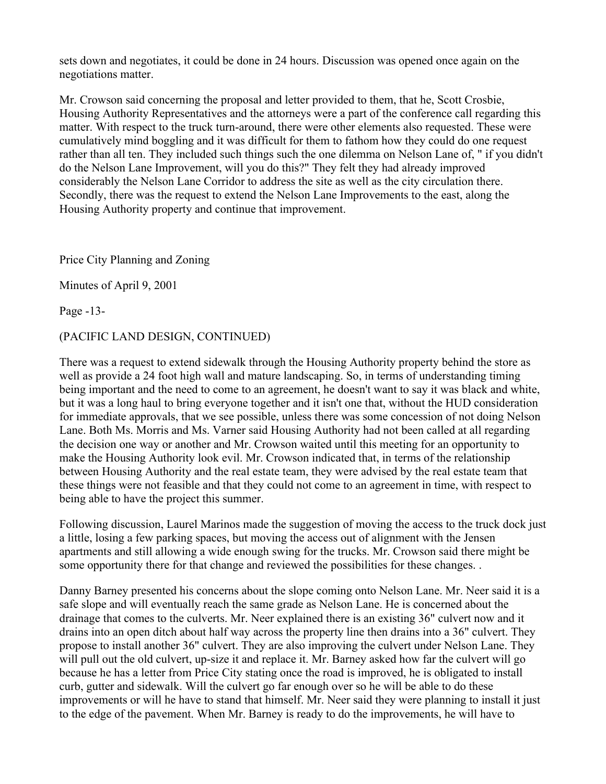sets down and negotiates, it could be done in 24 hours. Discussion was opened once again on the negotiations matter.

Mr. Crowson said concerning the proposal and letter provided to them, that he, Scott Crosbie, Housing Authority Representatives and the attorneys were a part of the conference call regarding this matter. With respect to the truck turn-around, there were other elements also requested. These were cumulatively mind boggling and it was difficult for them to fathom how they could do one request rather than all ten. They included such things such the one dilemma on Nelson Lane of, " if you didn't do the Nelson Lane Improvement, will you do this?" They felt they had already improved considerably the Nelson Lane Corridor to address the site as well as the city circulation there. Secondly, there was the request to extend the Nelson Lane Improvements to the east, along the Housing Authority property and continue that improvement.

Price City Planning and Zoning

Minutes of April 9, 2001

Page -13-

# (PACIFIC LAND DESIGN, CONTINUED)

There was a request to extend sidewalk through the Housing Authority property behind the store as well as provide a 24 foot high wall and mature landscaping. So, in terms of understanding timing being important and the need to come to an agreement, he doesn't want to say it was black and white, but it was a long haul to bring everyone together and it isn't one that, without the HUD consideration for immediate approvals, that we see possible, unless there was some concession of not doing Nelson Lane. Both Ms. Morris and Ms. Varner said Housing Authority had not been called at all regarding the decision one way or another and Mr. Crowson waited until this meeting for an opportunity to make the Housing Authority look evil. Mr. Crowson indicated that, in terms of the relationship between Housing Authority and the real estate team, they were advised by the real estate team that these things were not feasible and that they could not come to an agreement in time, with respect to being able to have the project this summer.

Following discussion, Laurel Marinos made the suggestion of moving the access to the truck dock just a little, losing a few parking spaces, but moving the access out of alignment with the Jensen apartments and still allowing a wide enough swing for the trucks. Mr. Crowson said there might be some opportunity there for that change and reviewed the possibilities for these changes. .

Danny Barney presented his concerns about the slope coming onto Nelson Lane. Mr. Neer said it is a safe slope and will eventually reach the same grade as Nelson Lane. He is concerned about the drainage that comes to the culverts. Mr. Neer explained there is an existing 36" culvert now and it drains into an open ditch about half way across the property line then drains into a 36" culvert. They propose to install another 36" culvert. They are also improving the culvert under Nelson Lane. They will pull out the old culvert, up-size it and replace it. Mr. Barney asked how far the culvert will go because he has a letter from Price City stating once the road is improved, he is obligated to install curb, gutter and sidewalk. Will the culvert go far enough over so he will be able to do these improvements or will he have to stand that himself. Mr. Neer said they were planning to install it just to the edge of the pavement. When Mr. Barney is ready to do the improvements, he will have to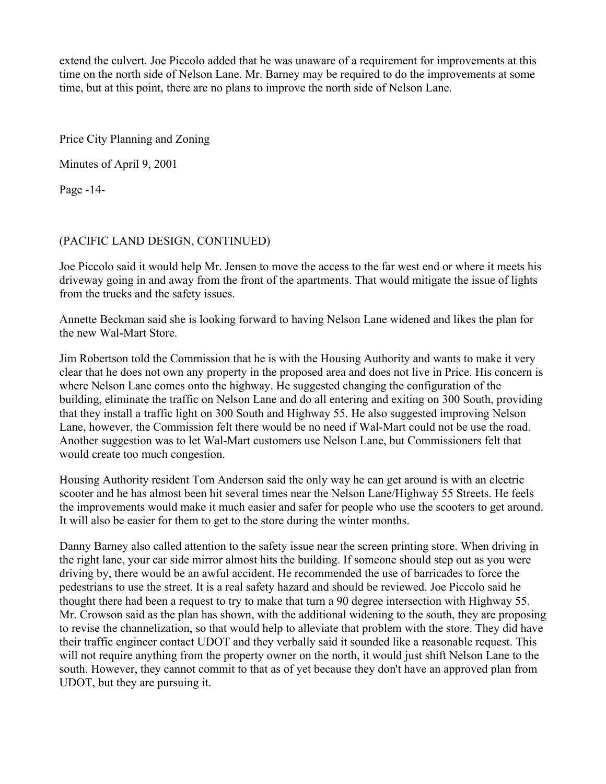extend the culvert. Joe Piccolo added that he was unaware of a requirement for improvements at this time on the north side of Nelson Lane. Mr. Barney may be required to do the improvements at some time, but at this point, there are no plans to improve the north side of Nelson Lane.

Price City Planning and Zoning

Minutes of April 9, 2001

Page -14-

# (PACIFIC LAND DESIGN, CONTINUED)

Joe Piccolo said it would help Mr. Jensen to move the access to the far west end or where it meets his driveway going in and away from the front of the apartments. That would mitigate the issue of lights from the trucks and the safety issues.

Annette Beckman said she is looking forward to having Nelson Lane widened and likes the plan for the new Wal-Mart Store.

Jim Robertson told the Commission that he is with the Housing Authority and wants to make it very clear that he does not own any property in the proposed area and does not live in Price. His concern is where Nelson Lane comes onto the highway. He suggested changing the configuration of the building, eliminate the traffic on Nelson Lane and do all entering and exiting on 300 South, providing that they install a traffic light on 300 South and Highway 55. He also suggested improving Nelson Lane, however, the Commission felt there would be no need if Wal-Mart could not be use the road. Another suggestion was to let Wal-Mart customers use Nelson Lane, but Commissioners felt that would create too much congestion.

Housing Authority resident Tom Anderson said the only way he can get around is with an electric scooter and he has almost been hit several times near the Nelson Lane/Highway 55 Streets. He feels the improvements would make it much easier and safer for people who use the scooters to get around. It will also be easier for them to get to the store during the winter months.

Danny Barney also called attention to the safety issue near the screen printing store. When driving in the right lane, your car side mirror almost hits the building. If someone should step out as you were driving by, there would be an awful accident. He recommended the use of barricades to force the pedestrians to use the street. It is a real safety hazard and should be reviewed. Joe Piccolo said he thought there had been a request to try to make that turn a 90 degree intersection with Highway 55. Mr. Crowson said as the plan has shown, with the additional widening to the south, they are proposing to revise the channelization, so that would help to alleviate that problem with the store. They did have their traffic engineer contact UDOT and they verbally said it sounded like a reasonable request. This will not require anything from the property owner on the north, it would just shift Nelson Lane to the south. However, they cannot commit to that as of yet because they don't have an approved plan from UDOT, but they are pursuing it.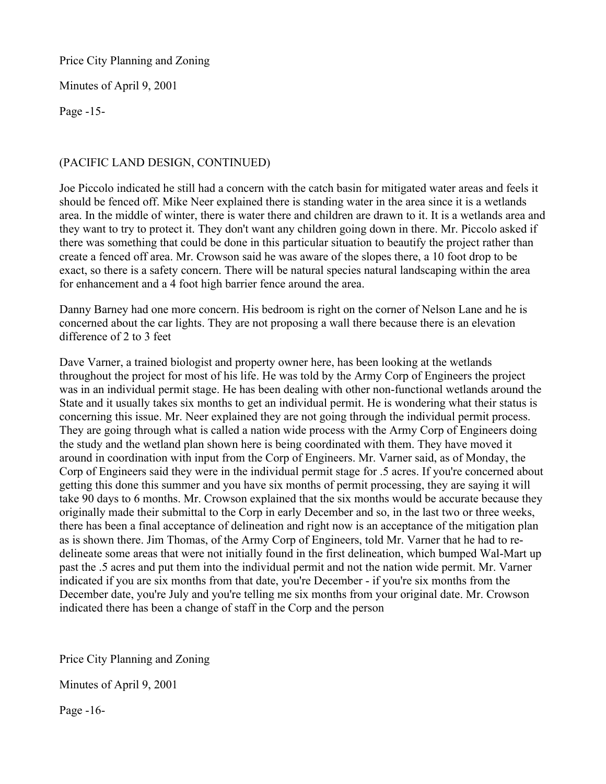Price City Planning and Zoning

Minutes of April 9, 2001

Page -15-

# (PACIFIC LAND DESIGN, CONTINUED)

Joe Piccolo indicated he still had a concern with the catch basin for mitigated water areas and feels it should be fenced off. Mike Neer explained there is standing water in the area since it is a wetlands area. In the middle of winter, there is water there and children are drawn to it. It is a wetlands area and they want to try to protect it. They don't want any children going down in there. Mr. Piccolo asked if there was something that could be done in this particular situation to beautify the project rather than create a fenced off area. Mr. Crowson said he was aware of the slopes there, a 10 foot drop to be exact, so there is a safety concern. There will be natural species natural landscaping within the area for enhancement and a 4 foot high barrier fence around the area.

Danny Barney had one more concern. His bedroom is right on the corner of Nelson Lane and he is concerned about the car lights. They are not proposing a wall there because there is an elevation difference of 2 to 3 feet

Dave Varner, a trained biologist and property owner here, has been looking at the wetlands throughout the project for most of his life. He was told by the Army Corp of Engineers the project was in an individual permit stage. He has been dealing with other non-functional wetlands around the State and it usually takes six months to get an individual permit. He is wondering what their status is concerning this issue. Mr. Neer explained they are not going through the individual permit process. They are going through what is called a nation wide process with the Army Corp of Engineers doing the study and the wetland plan shown here is being coordinated with them. They have moved it around in coordination with input from the Corp of Engineers. Mr. Varner said, as of Monday, the Corp of Engineers said they were in the individual permit stage for .5 acres. If you're concerned about getting this done this summer and you have six months of permit processing, they are saying it will take 90 days to 6 months. Mr. Crowson explained that the six months would be accurate because they originally made their submittal to the Corp in early December and so, in the last two or three weeks, there has been a final acceptance of delineation and right now is an acceptance of the mitigation plan as is shown there. Jim Thomas, of the Army Corp of Engineers, told Mr. Varner that he had to redelineate some areas that were not initially found in the first delineation, which bumped Wal-Mart up past the .5 acres and put them into the individual permit and not the nation wide permit. Mr. Varner indicated if you are six months from that date, you're December - if you're six months from the December date, you're July and you're telling me six months from your original date. Mr. Crowson indicated there has been a change of staff in the Corp and the person

Price City Planning and Zoning

Minutes of April 9, 2001

Page -16-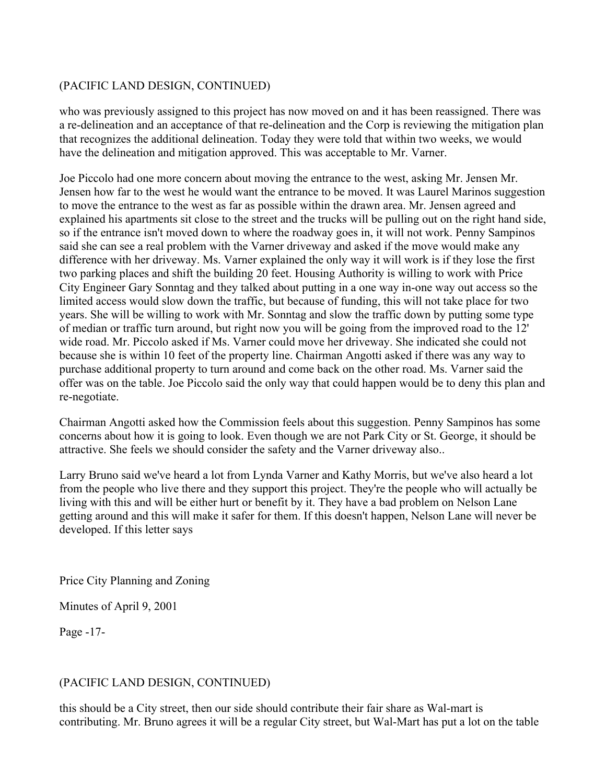# (PACIFIC LAND DESIGN, CONTINUED)

who was previously assigned to this project has now moved on and it has been reassigned. There was a re-delineation and an acceptance of that re-delineation and the Corp is reviewing the mitigation plan that recognizes the additional delineation. Today they were told that within two weeks, we would have the delineation and mitigation approved. This was acceptable to Mr. Varner.

Joe Piccolo had one more concern about moving the entrance to the west, asking Mr. Jensen Mr. Jensen how far to the west he would want the entrance to be moved. It was Laurel Marinos suggestion to move the entrance to the west as far as possible within the drawn area. Mr. Jensen agreed and explained his apartments sit close to the street and the trucks will be pulling out on the right hand side, so if the entrance isn't moved down to where the roadway goes in, it will not work. Penny Sampinos said she can see a real problem with the Varner driveway and asked if the move would make any difference with her driveway. Ms. Varner explained the only way it will work is if they lose the first two parking places and shift the building 20 feet. Housing Authority is willing to work with Price City Engineer Gary Sonntag and they talked about putting in a one way in-one way out access so the limited access would slow down the traffic, but because of funding, this will not take place for two years. She will be willing to work with Mr. Sonntag and slow the traffic down by putting some type of median or traffic turn around, but right now you will be going from the improved road to the 12' wide road. Mr. Piccolo asked if Ms. Varner could move her driveway. She indicated she could not because she is within 10 feet of the property line. Chairman Angotti asked if there was any way to purchase additional property to turn around and come back on the other road. Ms. Varner said the offer was on the table. Joe Piccolo said the only way that could happen would be to deny this plan and re-negotiate.

Chairman Angotti asked how the Commission feels about this suggestion. Penny Sampinos has some concerns about how it is going to look. Even though we are not Park City or St. George, it should be attractive. She feels we should consider the safety and the Varner driveway also..

Larry Bruno said we've heard a lot from Lynda Varner and Kathy Morris, but we've also heard a lot from the people who live there and they support this project. They're the people who will actually be living with this and will be either hurt or benefit by it. They have a bad problem on Nelson Lane getting around and this will make it safer for them. If this doesn't happen, Nelson Lane will never be developed. If this letter says

Price City Planning and Zoning

Minutes of April 9, 2001

Page -17-

# (PACIFIC LAND DESIGN, CONTINUED)

this should be a City street, then our side should contribute their fair share as Wal-mart is contributing. Mr. Bruno agrees it will be a regular City street, but Wal-Mart has put a lot on the table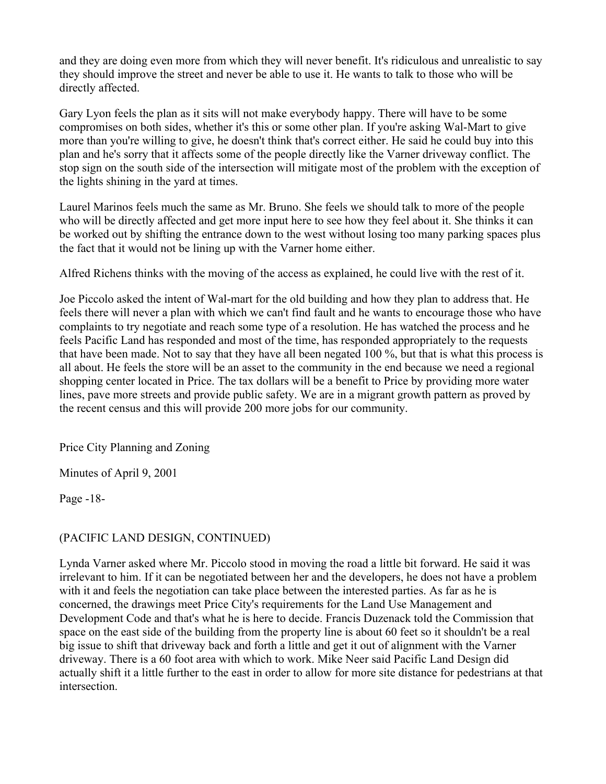and they are doing even more from which they will never benefit. It's ridiculous and unrealistic to say they should improve the street and never be able to use it. He wants to talk to those who will be directly affected.

Gary Lyon feels the plan as it sits will not make everybody happy. There will have to be some compromises on both sides, whether it's this or some other plan. If you're asking Wal-Mart to give more than you're willing to give, he doesn't think that's correct either. He said he could buy into this plan and he's sorry that it affects some of the people directly like the Varner driveway conflict. The stop sign on the south side of the intersection will mitigate most of the problem with the exception of the lights shining in the yard at times.

Laurel Marinos feels much the same as Mr. Bruno. She feels we should talk to more of the people who will be directly affected and get more input here to see how they feel about it. She thinks it can be worked out by shifting the entrance down to the west without losing too many parking spaces plus the fact that it would not be lining up with the Varner home either.

Alfred Richens thinks with the moving of the access as explained, he could live with the rest of it.

Joe Piccolo asked the intent of Wal-mart for the old building and how they plan to address that. He feels there will never a plan with which we can't find fault and he wants to encourage those who have complaints to try negotiate and reach some type of a resolution. He has watched the process and he feels Pacific Land has responded and most of the time, has responded appropriately to the requests that have been made. Not to say that they have all been negated 100 %, but that is what this process is all about. He feels the store will be an asset to the community in the end because we need a regional shopping center located in Price. The tax dollars will be a benefit to Price by providing more water lines, pave more streets and provide public safety. We are in a migrant growth pattern as proved by the recent census and this will provide 200 more jobs for our community.

Price City Planning and Zoning

Minutes of April 9, 2001

Page -18-

# (PACIFIC LAND DESIGN, CONTINUED)

Lynda Varner asked where Mr. Piccolo stood in moving the road a little bit forward. He said it was irrelevant to him. If it can be negotiated between her and the developers, he does not have a problem with it and feels the negotiation can take place between the interested parties. As far as he is concerned, the drawings meet Price City's requirements for the Land Use Management and Development Code and that's what he is here to decide. Francis Duzenack told the Commission that space on the east side of the building from the property line is about 60 feet so it shouldn't be a real big issue to shift that driveway back and forth a little and get it out of alignment with the Varner driveway. There is a 60 foot area with which to work. Mike Neer said Pacific Land Design did actually shift it a little further to the east in order to allow for more site distance for pedestrians at that intersection.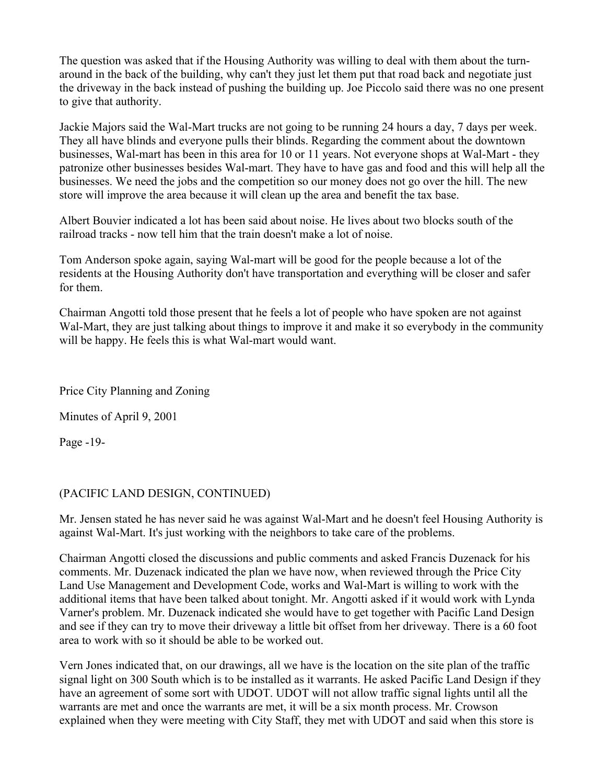The question was asked that if the Housing Authority was willing to deal with them about the turnaround in the back of the building, why can't they just let them put that road back and negotiate just the driveway in the back instead of pushing the building up. Joe Piccolo said there was no one present to give that authority.

Jackie Majors said the Wal-Mart trucks are not going to be running 24 hours a day, 7 days per week. They all have blinds and everyone pulls their blinds. Regarding the comment about the downtown businesses, Wal-mart has been in this area for 10 or 11 years. Not everyone shops at Wal-Mart - they patronize other businesses besides Wal-mart. They have to have gas and food and this will help all the businesses. We need the jobs and the competition so our money does not go over the hill. The new store will improve the area because it will clean up the area and benefit the tax base.

Albert Bouvier indicated a lot has been said about noise. He lives about two blocks south of the railroad tracks - now tell him that the train doesn't make a lot of noise.

Tom Anderson spoke again, saying Wal-mart will be good for the people because a lot of the residents at the Housing Authority don't have transportation and everything will be closer and safer for them.

Chairman Angotti told those present that he feels a lot of people who have spoken are not against Wal-Mart, they are just talking about things to improve it and make it so everybody in the community will be happy. He feels this is what Wal-mart would want.

Price City Planning and Zoning

Minutes of April 9, 2001

Page -19-

### (PACIFIC LAND DESIGN, CONTINUED)

Mr. Jensen stated he has never said he was against Wal-Mart and he doesn't feel Housing Authority is against Wal-Mart. It's just working with the neighbors to take care of the problems.

Chairman Angotti closed the discussions and public comments and asked Francis Duzenack for his comments. Mr. Duzenack indicated the plan we have now, when reviewed through the Price City Land Use Management and Development Code, works and Wal-Mart is willing to work with the additional items that have been talked about tonight. Mr. Angotti asked if it would work with Lynda Varner's problem. Mr. Duzenack indicated she would have to get together with Pacific Land Design and see if they can try to move their driveway a little bit offset from her driveway. There is a 60 foot area to work with so it should be able to be worked out.

Vern Jones indicated that, on our drawings, all we have is the location on the site plan of the traffic signal light on 300 South which is to be installed as it warrants. He asked Pacific Land Design if they have an agreement of some sort with UDOT. UDOT will not allow traffic signal lights until all the warrants are met and once the warrants are met, it will be a six month process. Mr. Crowson explained when they were meeting with City Staff, they met with UDOT and said when this store is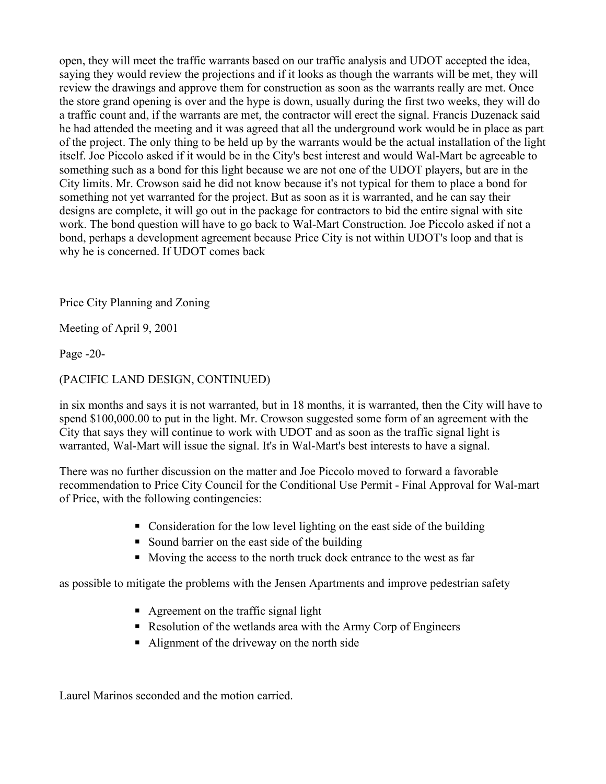open, they will meet the traffic warrants based on our traffic analysis and UDOT accepted the idea, saying they would review the projections and if it looks as though the warrants will be met, they will review the drawings and approve them for construction as soon as the warrants really are met. Once the store grand opening is over and the hype is down, usually during the first two weeks, they will do a traffic count and, if the warrants are met, the contractor will erect the signal. Francis Duzenack said he had attended the meeting and it was agreed that all the underground work would be in place as part of the project. The only thing to be held up by the warrants would be the actual installation of the light itself. Joe Piccolo asked if it would be in the City's best interest and would Wal-Mart be agreeable to something such as a bond for this light because we are not one of the UDOT players, but are in the City limits. Mr. Crowson said he did not know because it's not typical for them to place a bond for something not yet warranted for the project. But as soon as it is warranted, and he can say their designs are complete, it will go out in the package for contractors to bid the entire signal with site work. The bond question will have to go back to Wal-Mart Construction. Joe Piccolo asked if not a bond, perhaps a development agreement because Price City is not within UDOT's loop and that is why he is concerned. If UDOT comes back

Price City Planning and Zoning

Meeting of April 9, 2001

Page -20-

# (PACIFIC LAND DESIGN, CONTINUED)

in six months and says it is not warranted, but in 18 months, it is warranted, then the City will have to spend \$100,000.00 to put in the light. Mr. Crowson suggested some form of an agreement with the City that says they will continue to work with UDOT and as soon as the traffic signal light is warranted, Wal-Mart will issue the signal. It's in Wal-Mart's best interests to have a signal.

There was no further discussion on the matter and Joe Piccolo moved to forward a favorable recommendation to Price City Council for the Conditional Use Permit - Final Approval for Wal-mart of Price, with the following contingencies:

- Consideration for the low level lighting on the east side of the building
- Sound barrier on the east side of the building
- Moving the access to the north truck dock entrance to the west as far

as possible to mitigate the problems with the Jensen Apartments and improve pedestrian safety

- $\blacksquare$  Agreement on the traffic signal light
- Resolution of the wetlands area with the Army Corp of Engineers
- Alignment of the driveway on the north side

Laurel Marinos seconded and the motion carried.